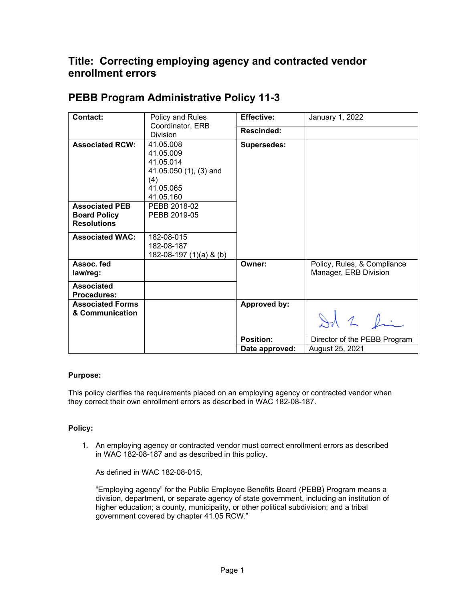## **Title: Correcting employing agency and contracted vendor enrollment errors**

| <b>Contact:</b>         | Policy and Rules        | <b>Effective:</b>   | January 1, 2022              |
|-------------------------|-------------------------|---------------------|------------------------------|
|                         | Coordinator, ERB        | Rescinded:          |                              |
|                         | <b>Division</b>         |                     |                              |
| <b>Associated RCW:</b>  | 41.05.008               | <b>Supersedes:</b>  |                              |
|                         | 41.05.009               |                     |                              |
|                         | 41.05.014               |                     |                              |
|                         | 41.05.050 (1), (3) and  |                     |                              |
|                         | (4)                     |                     |                              |
|                         | 41.05.065               |                     |                              |
|                         | 41.05.160               |                     |                              |
| <b>Associated PEB</b>   | PEBB 2018-02            |                     |                              |
| <b>Board Policy</b>     | PEBB 2019-05            |                     |                              |
| <b>Resolutions</b>      |                         |                     |                              |
| <b>Associated WAC:</b>  | 182-08-015              |                     |                              |
|                         | 182-08-187              |                     |                              |
|                         | 182-08-197 (1)(a) & (b) |                     |                              |
| Assoc. fed              |                         | Owner:              | Policy, Rules, & Compliance  |
| law/reg:                |                         |                     | Manager, ERB Division        |
| <b>Associated</b>       |                         |                     |                              |
| <b>Procedures:</b>      |                         |                     |                              |
| <b>Associated Forms</b> |                         | <b>Approved by:</b> |                              |
| & Communication         |                         |                     |                              |
|                         |                         |                     | Id 2 fin                     |
|                         |                         |                     |                              |
|                         |                         | <b>Position:</b>    | Director of the PEBB Program |
|                         |                         | Date approved:      | August 25, 2021              |

## **PEBB Program Administrative Policy 11-3**

## **Purpose:**

This policy clarifies the requirements placed on an employing agency or contracted vendor when they correct their own enrollment errors as described in WAC 182-08-187.

## **Policy:**

1. An employing agency or contracted vendor must correct enrollment errors as described in WAC 182-08-187 and as described in this policy.

As defined in WAC 182-08-015,

"Employing agency" for the Public Employee Benefits Board (PEBB) Program means a division, department, or separate agency of state government, including an institution of higher education; a county, municipality, or other political subdivision; and a tribal government covered by chapter 41.05 RCW."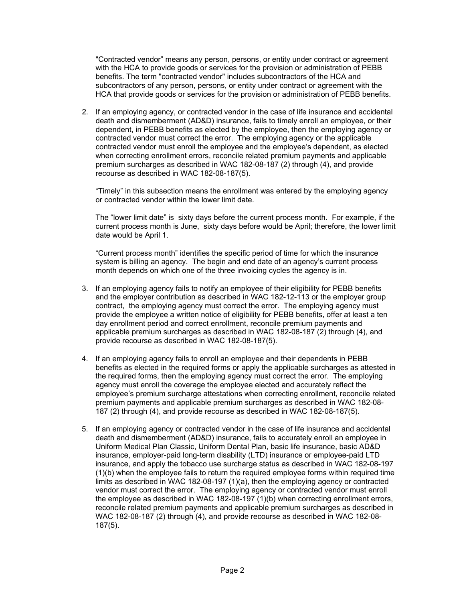"Contracted vendor" means any person, persons, or entity under contract or agreement with the HCA to provide goods or services for the provision or administration of PEBB benefits. The term "contracted vendor" includes subcontractors of the HCA and subcontractors of any person, persons, or entity under contract or agreement with the HCA that provide goods or services for the provision or administration of PEBB benefits.

2. If an employing agency, or contracted vendor in the case of life insurance and accidental death and dismemberment (AD&D) insurance, fails to timely enroll an employee, or their dependent, in PEBB benefits as elected by the employee, then the employing agency or contracted vendor must correct the error. The employing agency or the applicable contracted vendor must enroll the employee and the employee's dependent, as elected when correcting enrollment errors, reconcile related premium payments and applicable premium surcharges as described in WAC 182-08-187 (2) through (4), and provide recourse as described in WAC 182-08-187(5).

"Timely" in this subsection means the enrollment was entered by the employing agency or contracted vendor within the lower limit date.

The "lower limit date" is sixty days before the current process month. For example, if the current process month is June, sixty days before would be April; therefore, the lower limit date would be April 1.

"Current process month" identifies the specific period of time for which the insurance system is billing an agency. The begin and end date of an agency's current process month depends on which one of the three invoicing cycles the agency is in.

- 3. If an employing agency fails to notify an employee of their eligibility for PEBB benefits and the employer contribution as described in WAC 182-12-113 or the employer group contract, the employing agency must correct the error. The employing agency must provide the employee a written notice of eligibility for PEBB benefits, offer at least a ten day enrollment period and correct enrollment, reconcile premium payments and applicable premium surcharges as described in WAC 182-08-187 (2) through (4), and provide recourse as described in WAC 182-08-187(5).
- 4. If an employing agency fails to enroll an employee and their dependents in PEBB benefits as elected in the required forms or apply the applicable surcharges as attested in the required forms, then the employing agency must correct the error. The employing agency must enroll the coverage the employee elected and accurately reflect the employee's premium surcharge attestations when correcting enrollment, reconcile related premium payments and applicable premium surcharges as described in WAC 182-08- 187 (2) through (4), and provide recourse as described in WAC 182-08-187(5).
- 5. If an employing agency or contracted vendor in the case of life insurance and accidental death and dismemberment (AD&D) insurance, fails to accurately enroll an employee in Uniform Medical Plan Classic, Uniform Dental Plan, basic life insurance, basic AD&D insurance, employer-paid long-term disability (LTD) insurance or employee-paid LTD insurance, and apply the tobacco use surcharge status as described in WAC 182-08-197 (1)(b) when the employee fails to return the required employee forms within required time limits as described in WAC 182-08-197 (1)(a), then the employing agency or contracted vendor must correct the error. The employing agency or contracted vendor must enroll the employee as described in WAC 182-08-197 (1)(b) when correcting enrollment errors, reconcile related premium payments and applicable premium surcharges as described in WAC 182-08-187 (2) through (4), and provide recourse as described in WAC 182-08- 187(5).